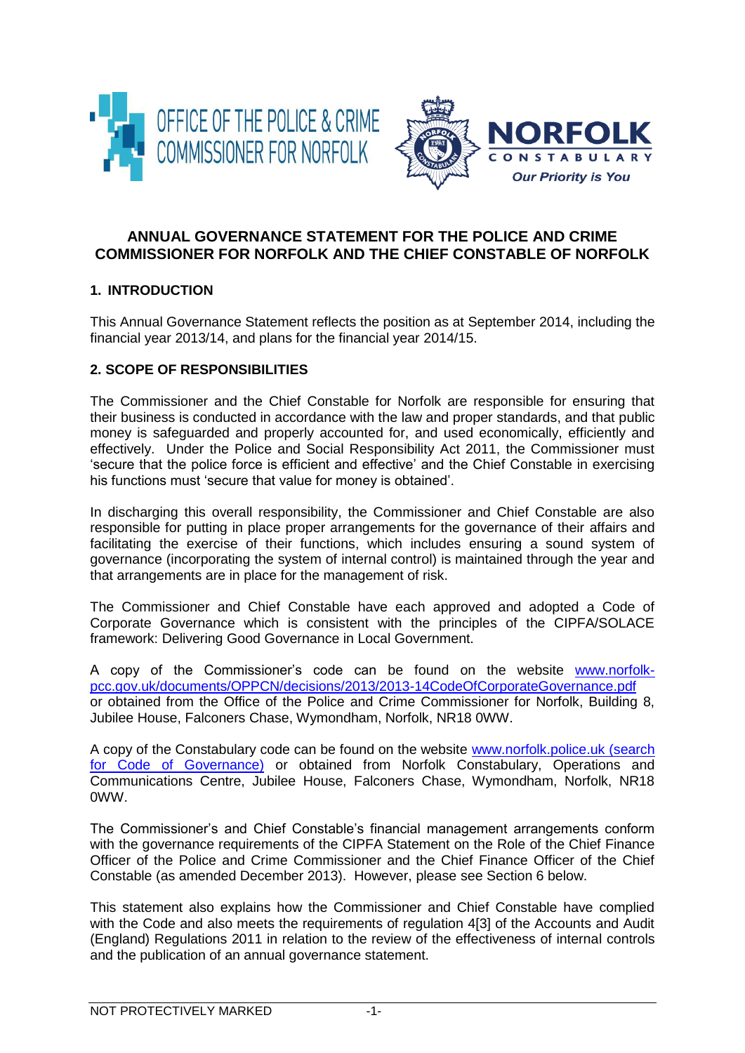



# **ANNUAL GOVERNANCE STATEMENT FOR THE POLICE AND CRIME COMMISSIONER FOR NORFOLK AND THE CHIEF CONSTABLE OF NORFOLK**

## **1. INTRODUCTION**

This Annual Governance Statement reflects the position as at September 2014, including the financial year 2013/14, and plans for the financial year 2014/15.

# **2. SCOPE OF RESPONSIBILITIES**

The Commissioner and the Chief Constable for Norfolk are responsible for ensuring that their business is conducted in accordance with the law and proper standards, and that public money is safeguarded and properly accounted for, and used economically, efficiently and effectively. Under the Police and Social Responsibility Act 2011, the Commissioner must 'secure that the police force is efficient and effective' and the Chief Constable in exercising his functions must 'secure that value for money is obtained'.

In discharging this overall responsibility, the Commissioner and Chief Constable are also responsible for putting in place proper arrangements for the governance of their affairs and facilitating the exercise of their functions, which includes ensuring a sound system of governance (incorporating the system of internal control) is maintained through the year and that arrangements are in place for the management of risk.

The Commissioner and Chief Constable have each approved and adopted a Code of Corporate Governance which is consistent with the principles of the CIPFA/SOLACE framework: Delivering Good Governance in Local Government.

A copy of the Commissioner's code can be found on the website [www.norfolk](http://www.norfolk-pcc.gov.uk/documents/OPPCN/decisions/2013/2013-14CodeOfCorporateGovernance.pdf)[pcc.gov.uk/documents/OPPCN/decisions/2013/2013-14CodeOfCorporateGovernance.pdf](http://www.norfolk-pcc.gov.uk/documents/OPPCN/decisions/2013/2013-14CodeOfCorporateGovernance.pdf) or obtained from the Office of the Police and Crime Commissioner for Norfolk, Building 8, Jubilee House, Falconers Chase, Wymondham, Norfolk, NR18 0WW.

A copy of the Constabulary code can be found on the website [www.norfolk.police.uk](http://www.norfolk.police.uk/) (search for Code of Governance) or obtained from Norfolk Constabulary, Operations and Communications Centre, Jubilee House, Falconers Chase, Wymondham, Norfolk, NR18 0WW.

The Commissioner's and Chief Constable's financial management arrangements conform with the governance requirements of the CIPFA Statement on the Role of the Chief Finance Officer of the Police and Crime Commissioner and the Chief Finance Officer of the Chief Constable (as amended December 2013). However, please see Section 6 below.

This statement also explains how the Commissioner and Chief Constable have complied with the Code and also meets the requirements of regulation 4[3] of the Accounts and Audit (England) Regulations 2011 in relation to the review of the effectiveness of internal controls and the publication of an annual governance statement.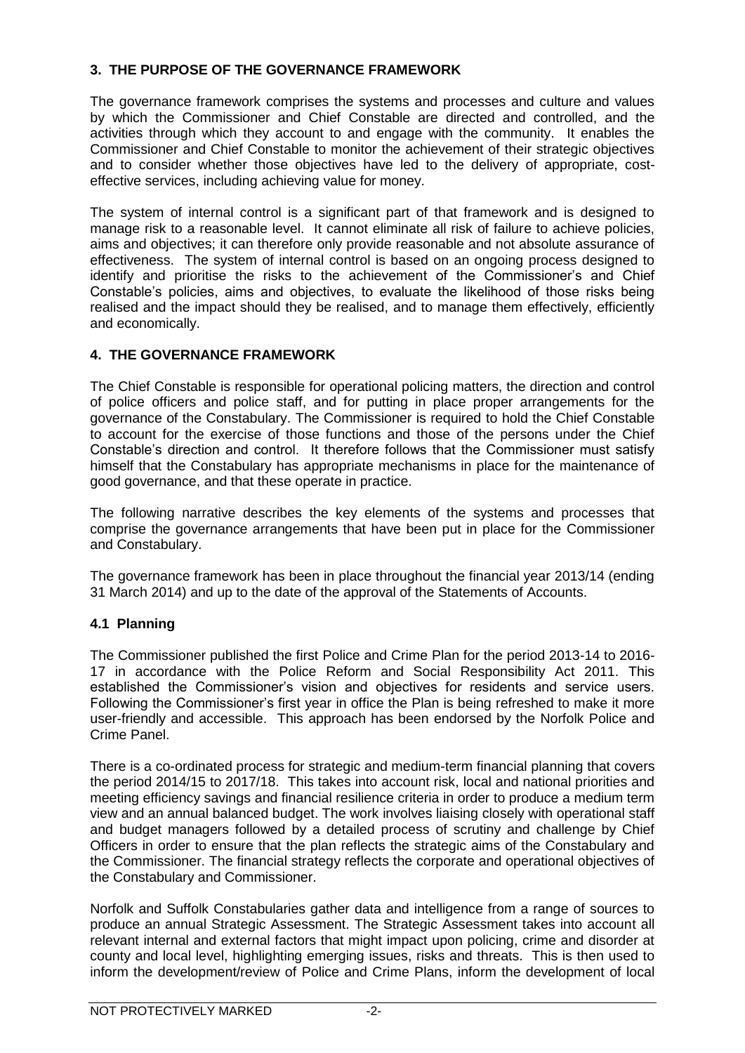# **3. THE PURPOSE OF THE GOVERNANCE FRAMEWORK**

The governance framework comprises the systems and processes and culture and values by which the Commissioner and Chief Constable are directed and controlled, and the activities through which they account to and engage with the community. It enables the Commissioner and Chief Constable to monitor the achievement of their strategic objectives and to consider whether those objectives have led to the delivery of appropriate, costeffective services, including achieving value for money.

The system of internal control is a significant part of that framework and is designed to manage risk to a reasonable level. It cannot eliminate all risk of failure to achieve policies, aims and objectives; it can therefore only provide reasonable and not absolute assurance of effectiveness. The system of internal control is based on an ongoing process designed to identify and prioritise the risks to the achievement of the Commissioner's and Chief Constable's policies, aims and objectives, to evaluate the likelihood of those risks being realised and the impact should they be realised, and to manage them effectively, efficiently and economically.

# **4. THE GOVERNANCE FRAMEWORK**

The Chief Constable is responsible for operational policing matters, the direction and control of police officers and police staff, and for putting in place proper arrangements for the governance of the Constabulary. The Commissioner is required to hold the Chief Constable to account for the exercise of those functions and those of the persons under the Chief Constable's direction and control. It therefore follows that the Commissioner must satisfy himself that the Constabulary has appropriate mechanisms in place for the maintenance of good governance, and that these operate in practice.

The following narrative describes the key elements of the systems and processes that comprise the governance arrangements that have been put in place for the Commissioner and Constabulary.

The governance framework has been in place throughout the financial year 2013/14 (ending 31 March 2014) and up to the date of the approval of the Statements of Accounts.

## **4.1 Planning**

The Commissioner published the first Police and Crime Plan for the period 2013-14 to 2016- 17 in accordance with the Police Reform and Social Responsibility Act 2011. This established the Commissioner's vision and objectives for residents and service users. Following the Commissioner's first year in office the Plan is being refreshed to make it more user-friendly and accessible. This approach has been endorsed by the Norfolk Police and Crime Panel.

There is a co-ordinated process for strategic and medium-term financial planning that covers the period 2014/15 to 2017/18. This takes into account risk, local and national priorities and meeting efficiency savings and financial resilience criteria in order to produce a medium term view and an annual balanced budget. The work involves liaising closely with operational staff and budget managers followed by a detailed process of scrutiny and challenge by Chief Officers in order to ensure that the plan reflects the strategic aims of the Constabulary and the Commissioner. The financial strategy reflects the corporate and operational objectives of the Constabulary and Commissioner.

Norfolk and Suffolk Constabularies gather data and intelligence from a range of sources to produce an annual Strategic Assessment. The Strategic Assessment takes into account all relevant internal and external factors that might impact upon policing, crime and disorder at county and local level, highlighting emerging issues, risks and threats. This is then used to inform the development/review of Police and Crime Plans, inform the development of local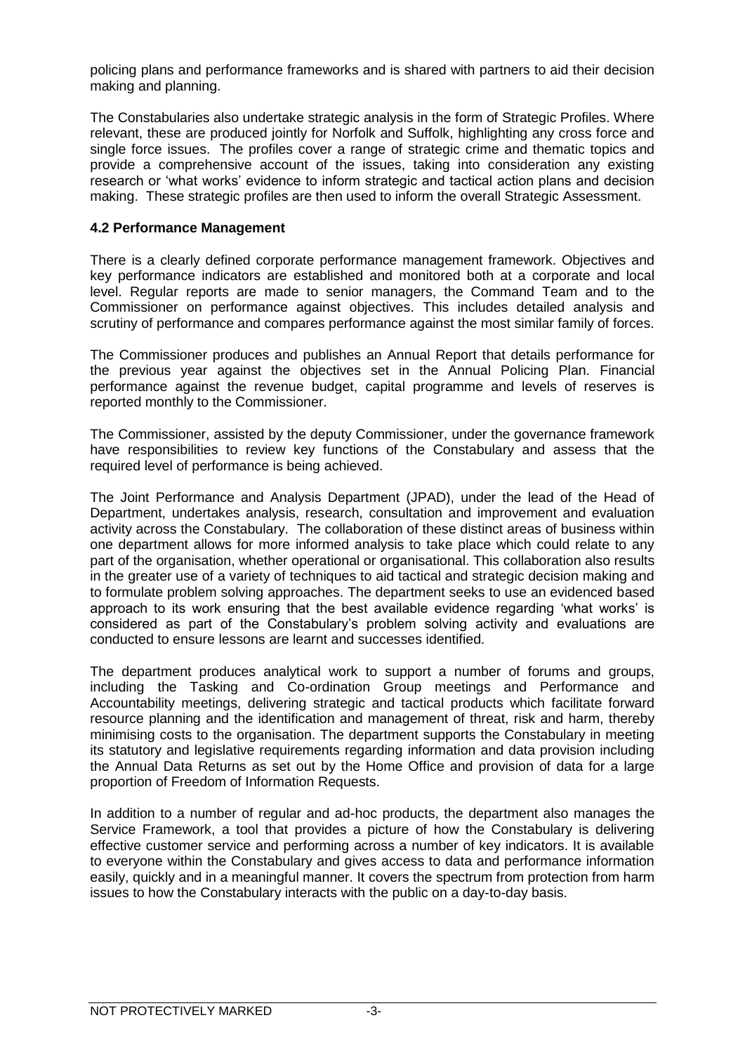policing plans and performance frameworks and is shared with partners to aid their decision making and planning.

The Constabularies also undertake strategic analysis in the form of Strategic Profiles. Where relevant, these are produced jointly for Norfolk and Suffolk, highlighting any cross force and single force issues. The profiles cover a range of strategic crime and thematic topics and provide a comprehensive account of the issues, taking into consideration any existing research or 'what works' evidence to inform strategic and tactical action plans and decision making. These strategic profiles are then used to inform the overall Strategic Assessment.

### **4.2 Performance Management**

There is a clearly defined corporate performance management framework. Objectives and key performance indicators are established and monitored both at a corporate and local level. Regular reports are made to senior managers, the Command Team and to the Commissioner on performance against objectives. This includes detailed analysis and scrutiny of performance and compares performance against the most similar family of forces.

The Commissioner produces and publishes an Annual Report that details performance for the previous year against the objectives set in the Annual Policing Plan. Financial performance against the revenue budget, capital programme and levels of reserves is reported monthly to the Commissioner.

The Commissioner, assisted by the deputy Commissioner, under the governance framework have responsibilities to review key functions of the Constabulary and assess that the required level of performance is being achieved.

The Joint Performance and Analysis Department (JPAD), under the lead of the Head of Department, undertakes analysis, research, consultation and improvement and evaluation activity across the Constabulary. The collaboration of these distinct areas of business within one department allows for more informed analysis to take place which could relate to any part of the organisation, whether operational or organisational. This collaboration also results in the greater use of a variety of techniques to aid tactical and strategic decision making and to formulate problem solving approaches. The department seeks to use an evidenced based approach to its work ensuring that the best available evidence regarding 'what works' is considered as part of the Constabulary's problem solving activity and evaluations are conducted to ensure lessons are learnt and successes identified.

The department produces analytical work to support a number of forums and groups, including the Tasking and Co-ordination Group meetings and Performance and Accountability meetings, delivering strategic and tactical products which facilitate forward resource planning and the identification and management of threat, risk and harm, thereby minimising costs to the organisation. The department supports the Constabulary in meeting its statutory and legislative requirements regarding information and data provision including the Annual Data Returns as set out by the Home Office and provision of data for a large proportion of Freedom of Information Requests.

In addition to a number of regular and ad-hoc products, the department also manages the Service Framework, a tool that provides a picture of how the Constabulary is delivering effective customer service and performing across a number of key indicators. It is available to everyone within the Constabulary and gives access to data and performance information easily, quickly and in a meaningful manner. It covers the spectrum from protection from harm issues to how the Constabulary interacts with the public on a day-to-day basis.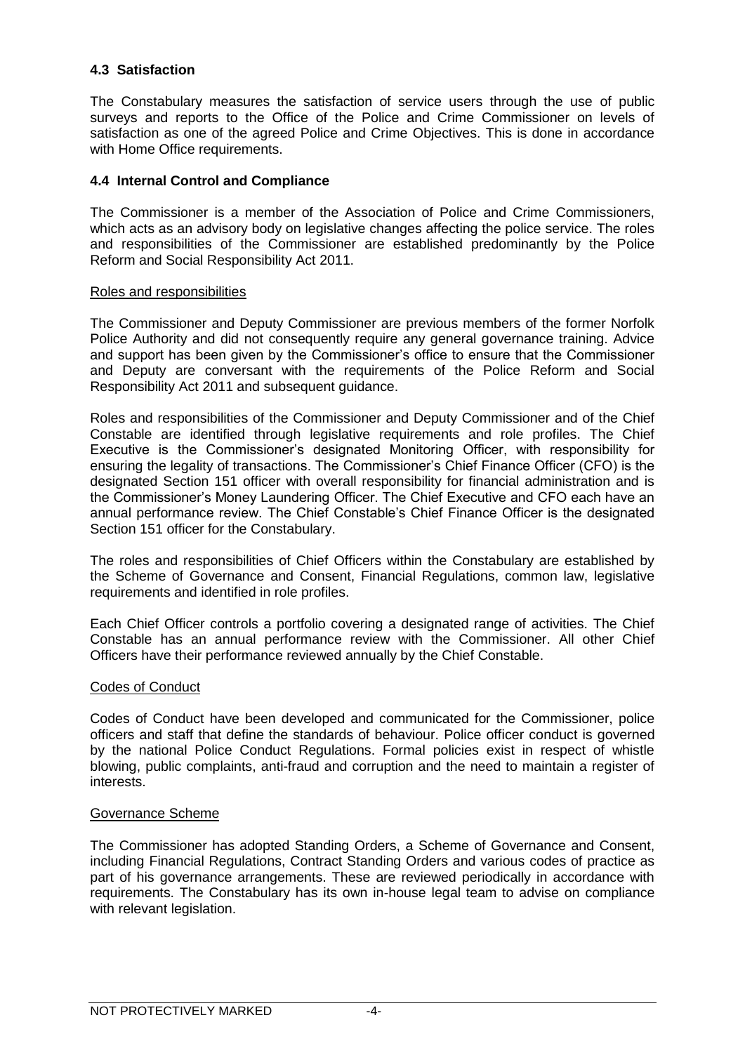## **4.3 Satisfaction**

The Constabulary measures the satisfaction of service users through the use of public surveys and reports to the Office of the Police and Crime Commissioner on levels of satisfaction as one of the agreed Police and Crime Objectives. This is done in accordance with Home Office requirements.

### **4.4 Internal Control and Compliance**

The Commissioner is a member of the Association of Police and Crime Commissioners, which acts as an advisory body on legislative changes affecting the police service. The roles and responsibilities of the Commissioner are established predominantly by the Police Reform and Social Responsibility Act 2011.

### Roles and responsibilities

The Commissioner and Deputy Commissioner are previous members of the former Norfolk Police Authority and did not consequently require any general governance training. Advice and support has been given by the Commissioner's office to ensure that the Commissioner and Deputy are conversant with the requirements of the Police Reform and Social Responsibility Act 2011 and subsequent guidance.

Roles and responsibilities of the Commissioner and Deputy Commissioner and of the Chief Constable are identified through legislative requirements and role profiles. The Chief Executive is the Commissioner's designated Monitoring Officer, with responsibility for ensuring the legality of transactions. The Commissioner's Chief Finance Officer (CFO) is the designated Section 151 officer with overall responsibility for financial administration and is the Commissioner's Money Laundering Officer. The Chief Executive and CFO each have an annual performance review. The Chief Constable's Chief Finance Officer is the designated Section 151 officer for the Constabulary.

The roles and responsibilities of Chief Officers within the Constabulary are established by the Scheme of Governance and Consent, Financial Regulations, common law, legislative requirements and identified in role profiles.

Each Chief Officer controls a portfolio covering a designated range of activities. The Chief Constable has an annual performance review with the Commissioner. All other Chief Officers have their performance reviewed annually by the Chief Constable.

### Codes of Conduct

Codes of Conduct have been developed and communicated for the Commissioner, police officers and staff that define the standards of behaviour. Police officer conduct is governed by the national Police Conduct Regulations. Formal policies exist in respect of whistle blowing, public complaints, anti-fraud and corruption and the need to maintain a register of interests.

### Governance Scheme

The Commissioner has adopted Standing Orders, a Scheme of Governance and Consent, including Financial Regulations, Contract Standing Orders and various codes of practice as part of his governance arrangements. These are reviewed periodically in accordance with requirements. The Constabulary has its own in-house legal team to advise on compliance with relevant legislation.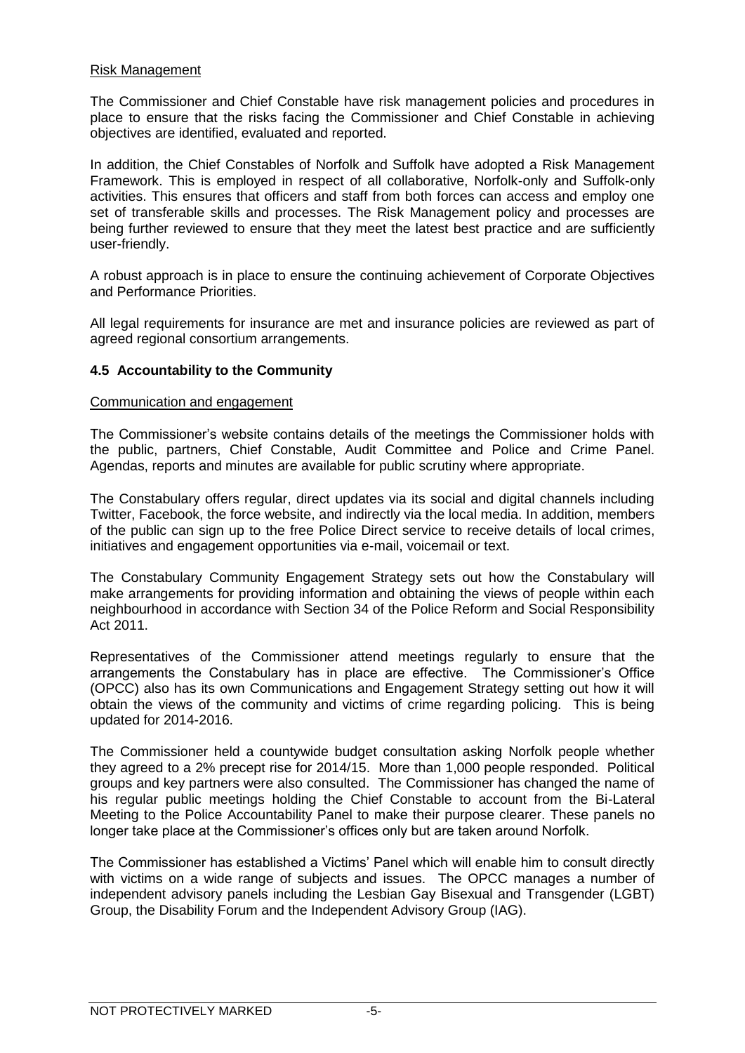### Risk Management

The Commissioner and Chief Constable have risk management policies and procedures in place to ensure that the risks facing the Commissioner and Chief Constable in achieving objectives are identified, evaluated and reported.

In addition, the Chief Constables of Norfolk and Suffolk have adopted a Risk Management Framework. This is employed in respect of all collaborative, Norfolk-only and Suffolk-only activities. This ensures that officers and staff from both forces can access and employ one set of transferable skills and processes. The Risk Management policy and processes are being further reviewed to ensure that they meet the latest best practice and are sufficiently user-friendly.

A robust approach is in place to ensure the continuing achievement of Corporate Objectives and Performance Priorities.

All legal requirements for insurance are met and insurance policies are reviewed as part of agreed regional consortium arrangements.

### **4.5 Accountability to the Community**

#### Communication and engagement

The Commissioner's website contains details of the meetings the Commissioner holds with the public, partners, Chief Constable, Audit Committee and Police and Crime Panel. Agendas, reports and minutes are available for public scrutiny where appropriate.

The Constabulary offers regular, direct updates via its social and digital channels including Twitter, Facebook, the force website, and indirectly via the local media. In addition, members of the public can sign up to the free Police Direct service to receive details of local crimes, initiatives and engagement opportunities via e-mail, voicemail or text.

The Constabulary Community Engagement Strategy sets out how the Constabulary will make arrangements for providing information and obtaining the views of people within each neighbourhood in accordance with Section 34 of the Police Reform and Social Responsibility Act 2011.

Representatives of the Commissioner attend meetings regularly to ensure that the arrangements the Constabulary has in place are effective. The Commissioner's Office (OPCC) also has its own Communications and Engagement Strategy setting out how it will obtain the views of the community and victims of crime regarding policing. This is being updated for 2014-2016.

The Commissioner held a countywide budget consultation asking Norfolk people whether they agreed to a 2% precept rise for 2014/15. More than 1,000 people responded. Political groups and key partners were also consulted. The Commissioner has changed the name of his regular public meetings holding the Chief Constable to account from the Bi-Lateral Meeting to the Police Accountability Panel to make their purpose clearer. These panels no longer take place at the Commissioner's offices only but are taken around Norfolk.

The Commissioner has established a Victims' Panel which will enable him to consult directly with victims on a wide range of subjects and issues. The OPCC manages a number of independent advisory panels including the Lesbian Gay Bisexual and Transgender (LGBT) Group, the Disability Forum and the Independent Advisory Group (IAG).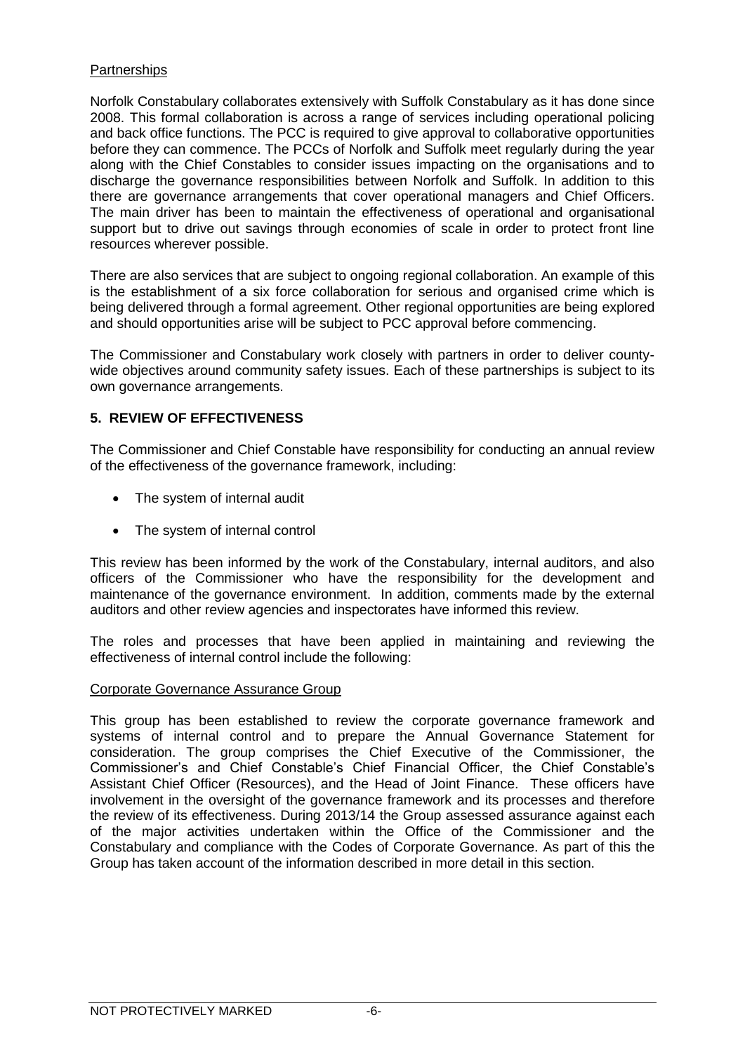## **Partnerships**

Norfolk Constabulary collaborates extensively with Suffolk Constabulary as it has done since 2008. This formal collaboration is across a range of services including operational policing and back office functions. The PCC is required to give approval to collaborative opportunities before they can commence. The PCCs of Norfolk and Suffolk meet regularly during the year along with the Chief Constables to consider issues impacting on the organisations and to discharge the governance responsibilities between Norfolk and Suffolk. In addition to this there are governance arrangements that cover operational managers and Chief Officers. The main driver has been to maintain the effectiveness of operational and organisational support but to drive out savings through economies of scale in order to protect front line resources wherever possible.

There are also services that are subject to ongoing regional collaboration. An example of this is the establishment of a six force collaboration for serious and organised crime which is being delivered through a formal agreement. Other regional opportunities are being explored and should opportunities arise will be subject to PCC approval before commencing.

The Commissioner and Constabulary work closely with partners in order to deliver countywide objectives around community safety issues. Each of these partnerships is subject to its own governance arrangements.

# **5. REVIEW OF EFFECTIVENESS**

The Commissioner and Chief Constable have responsibility for conducting an annual review of the effectiveness of the governance framework, including:

- The system of internal audit
- The system of internal control

This review has been informed by the work of the Constabulary, internal auditors, and also officers of the Commissioner who have the responsibility for the development and maintenance of the governance environment. In addition, comments made by the external auditors and other review agencies and inspectorates have informed this review.

The roles and processes that have been applied in maintaining and reviewing the effectiveness of internal control include the following:

### Corporate Governance Assurance Group

This group has been established to review the corporate governance framework and systems of internal control and to prepare the Annual Governance Statement for consideration. The group comprises the Chief Executive of the Commissioner, the Commissioner's and Chief Constable's Chief Financial Officer, the Chief Constable's Assistant Chief Officer (Resources), and the Head of Joint Finance. These officers have involvement in the oversight of the governance framework and its processes and therefore the review of its effectiveness. During 2013/14 the Group assessed assurance against each of the major activities undertaken within the Office of the Commissioner and the Constabulary and compliance with the Codes of Corporate Governance. As part of this the Group has taken account of the information described in more detail in this section.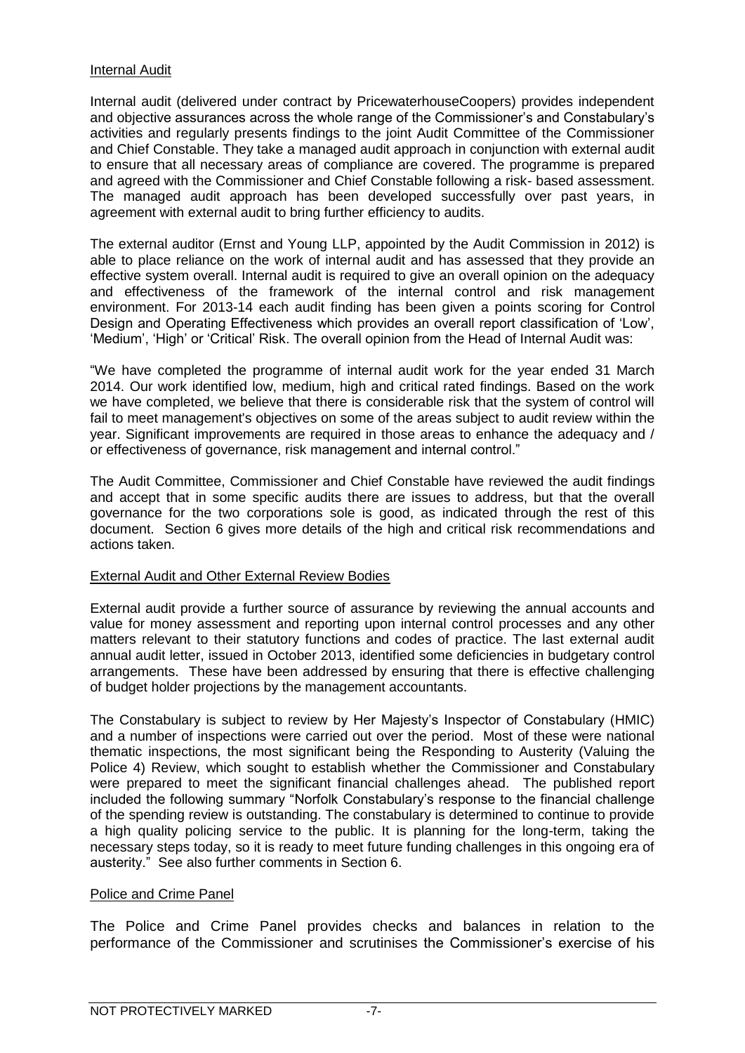### Internal Audit

Internal audit (delivered under contract by PricewaterhouseCoopers) provides independent and objective assurances across the whole range of the Commissioner's and Constabulary's activities and regularly presents findings to the joint Audit Committee of the Commissioner and Chief Constable. They take a managed audit approach in conjunction with external audit to ensure that all necessary areas of compliance are covered. The programme is prepared and agreed with the Commissioner and Chief Constable following a risk- based assessment. The managed audit approach has been developed successfully over past years, in agreement with external audit to bring further efficiency to audits.

The external auditor (Ernst and Young LLP, appointed by the Audit Commission in 2012) is able to place reliance on the work of internal audit and has assessed that they provide an effective system overall. Internal audit is required to give an overall opinion on the adequacy and effectiveness of the framework of the internal control and risk management environment. For 2013-14 each audit finding has been given a points scoring for Control Design and Operating Effectiveness which provides an overall report classification of 'Low', 'Medium', 'High' or 'Critical' Risk. The overall opinion from the Head of Internal Audit was:

"We have completed the programme of internal audit work for the year ended 31 March 2014. Our work identified low, medium, high and critical rated findings. Based on the work we have completed, we believe that there is considerable risk that the system of control will fail to meet management's objectives on some of the areas subject to audit review within the year. Significant improvements are required in those areas to enhance the adequacy and / or effectiveness of governance, risk management and internal control."

The Audit Committee, Commissioner and Chief Constable have reviewed the audit findings and accept that in some specific audits there are issues to address, but that the overall governance for the two corporations sole is good, as indicated through the rest of this document. Section 6 gives more details of the high and critical risk recommendations and actions taken.

### External Audit and Other External Review Bodies

External audit provide a further source of assurance by reviewing the annual accounts and value for money assessment and reporting upon internal control processes and any other matters relevant to their statutory functions and codes of practice. The last external audit annual audit letter, issued in October 2013, identified some deficiencies in budgetary control arrangements. These have been addressed by ensuring that there is effective challenging of budget holder projections by the management accountants.

The Constabulary is subject to review by Her Majesty's Inspector of Constabulary (HMIC) and a number of inspections were carried out over the period. Most of these were national thematic inspections, the most significant being the Responding to Austerity (Valuing the Police 4) Review, which sought to establish whether the Commissioner and Constabulary were prepared to meet the significant financial challenges ahead. The published report included the following summary "Norfolk Constabulary's response to the financial challenge of the spending review is outstanding. The constabulary is determined to continue to provide a high quality policing service to the public. It is planning for the long-term, taking the necessary steps today, so it is ready to meet future funding challenges in this ongoing era of austerity." See also further comments in Section 6.

## Police and Crime Panel

The Police and Crime Panel provides checks and balances in relation to the performance of the Commissioner and scrutinises the Commissioner's exercise of his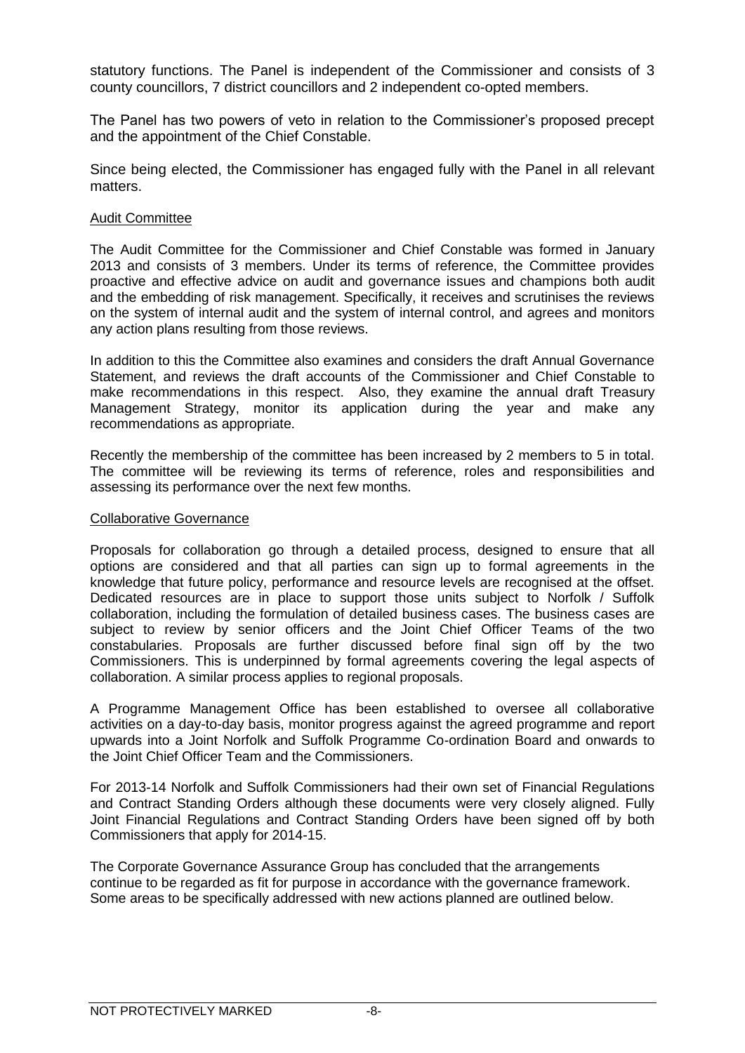statutory functions. The Panel is independent of the Commissioner and consists of 3 county councillors, 7 district councillors and 2 independent co-opted members.

The Panel has two powers of veto in relation to the Commissioner's proposed precept and the appointment of the Chief Constable.

Since being elected, the Commissioner has engaged fully with the Panel in all relevant matters.

### Audit Committee

The Audit Committee for the Commissioner and Chief Constable was formed in January 2013 and consists of 3 members. Under its terms of reference, the Committee provides proactive and effective advice on audit and governance issues and champions both audit and the embedding of risk management. Specifically, it receives and scrutinises the reviews on the system of internal audit and the system of internal control, and agrees and monitors any action plans resulting from those reviews.

In addition to this the Committee also examines and considers the draft Annual Governance Statement, and reviews the draft accounts of the Commissioner and Chief Constable to make recommendations in this respect. Also, they examine the annual draft Treasury Management Strategy, monitor its application during the year and make any recommendations as appropriate.

Recently the membership of the committee has been increased by 2 members to 5 in total. The committee will be reviewing its terms of reference, roles and responsibilities and assessing its performance over the next few months.

#### Collaborative Governance

Proposals for collaboration go through a detailed process, designed to ensure that all options are considered and that all parties can sign up to formal agreements in the knowledge that future policy, performance and resource levels are recognised at the offset. Dedicated resources are in place to support those units subject to Norfolk / Suffolk collaboration, including the formulation of detailed business cases. The business cases are subject to review by senior officers and the Joint Chief Officer Teams of the two constabularies. Proposals are further discussed before final sign off by the two Commissioners. This is underpinned by formal agreements covering the legal aspects of collaboration. A similar process applies to regional proposals.

A Programme Management Office has been established to oversee all collaborative activities on a day-to-day basis, monitor progress against the agreed programme and report upwards into a Joint Norfolk and Suffolk Programme Co-ordination Board and onwards to the Joint Chief Officer Team and the Commissioners.

For 2013-14 Norfolk and Suffolk Commissioners had their own set of Financial Regulations and Contract Standing Orders although these documents were very closely aligned. Fully Joint Financial Regulations and Contract Standing Orders have been signed off by both Commissioners that apply for 2014-15.

The Corporate Governance Assurance Group has concluded that the arrangements continue to be regarded as fit for purpose in accordance with the governance framework. Some areas to be specifically addressed with new actions planned are outlined below.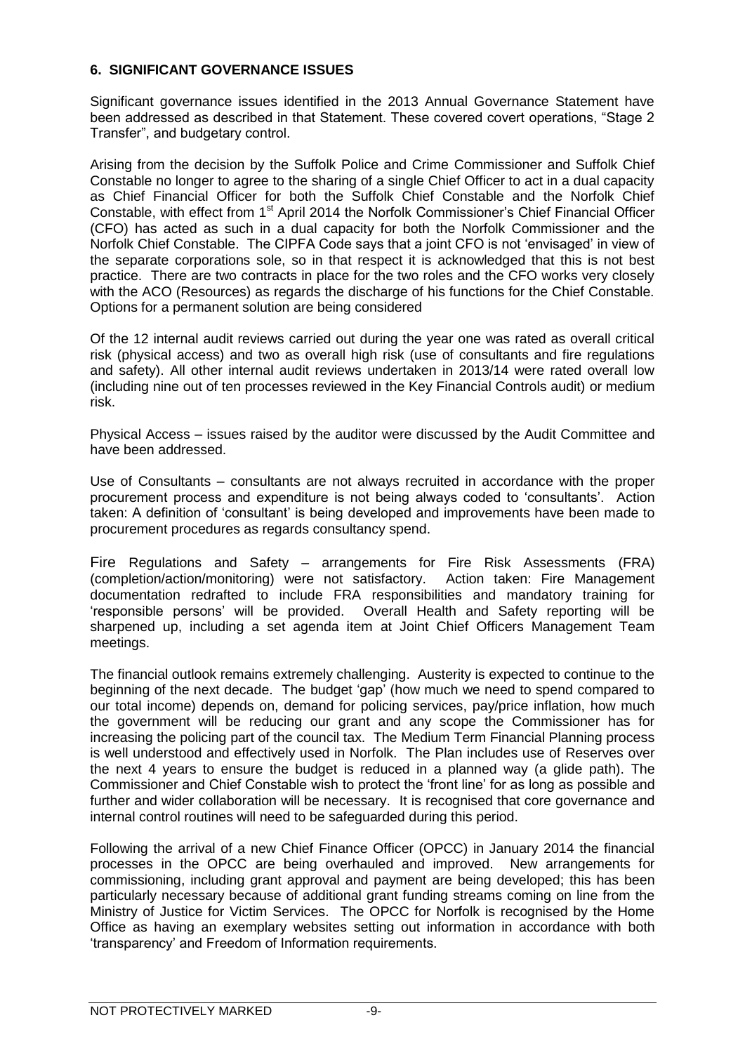### **6. SIGNIFICANT GOVERNANCE ISSUES**

Significant governance issues identified in the 2013 Annual Governance Statement have been addressed as described in that Statement. These covered covert operations, "Stage 2 Transfer", and budgetary control.

Arising from the decision by the Suffolk Police and Crime Commissioner and Suffolk Chief Constable no longer to agree to the sharing of a single Chief Officer to act in a dual capacity as Chief Financial Officer for both the Suffolk Chief Constable and the Norfolk Chief Constable, with effect from 1<sup>st</sup> April 2014 the Norfolk Commissioner's Chief Financial Officer (CFO) has acted as such in a dual capacity for both the Norfolk Commissioner and the Norfolk Chief Constable. The CIPFA Code says that a joint CFO is not 'envisaged' in view of the separate corporations sole, so in that respect it is acknowledged that this is not best practice. There are two contracts in place for the two roles and the CFO works very closely with the ACO (Resources) as regards the discharge of his functions for the Chief Constable. Options for a permanent solution are being considered

Of the 12 internal audit reviews carried out during the year one was rated as overall critical risk (physical access) and two as overall high risk (use of consultants and fire regulations and safety). All other internal audit reviews undertaken in 2013/14 were rated overall low (including nine out of ten processes reviewed in the Key Financial Controls audit) or medium risk.

Physical Access – issues raised by the auditor were discussed by the Audit Committee and have been addressed.

Use of Consultants – consultants are not always recruited in accordance with the proper procurement process and expenditure is not being always coded to 'consultants'. Action taken: A definition of 'consultant' is being developed and improvements have been made to procurement procedures as regards consultancy spend.

Fire Regulations and Safety – arrangements for Fire Risk Assessments (FRA) (completion/action/monitoring) were not satisfactory. Action taken: Fire Management documentation redrafted to include FRA responsibilities and mandatory training for 'responsible persons' will be provided. Overall Health and Safety reporting will be sharpened up, including a set agenda item at Joint Chief Officers Management Team meetings.

The financial outlook remains extremely challenging. Austerity is expected to continue to the beginning of the next decade. The budget 'gap' (how much we need to spend compared to our total income) depends on, demand for policing services, pay/price inflation, how much the government will be reducing our grant and any scope the Commissioner has for increasing the policing part of the council tax. The Medium Term Financial Planning process is well understood and effectively used in Norfolk. The Plan includes use of Reserves over the next 4 years to ensure the budget is reduced in a planned way (a glide path). The Commissioner and Chief Constable wish to protect the 'front line' for as long as possible and further and wider collaboration will be necessary. It is recognised that core governance and internal control routines will need to be safeguarded during this period.

Following the arrival of a new Chief Finance Officer (OPCC) in January 2014 the financial processes in the OPCC are being overhauled and improved. New arrangements for commissioning, including grant approval and payment are being developed; this has been particularly necessary because of additional grant funding streams coming on line from the Ministry of Justice for Victim Services. The OPCC for Norfolk is recognised by the Home Office as having an exemplary websites setting out information in accordance with both 'transparency' and Freedom of Information requirements.